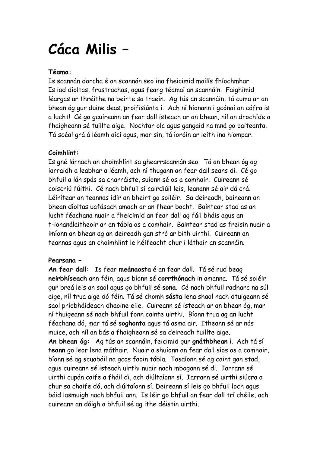# **Cáca Milis –**

### **Téama:**

Is scannán dorcha é an scannán seo ina fheicimid mailís fhíochmhar. Is iad díoltas, frustrachas, agus fearg téamaí an scannáin. Faighimid léargas ar thréithe na beirte sa traein. Ag tús an scannáin, tá cuma ar an bhean óg gur duine deas, proifisiúnta í. Ach ní hionann i gcónaí an cófra is a lucht! Cé go gcuireann an fear dall isteach ar an bhean, níl an drochíde a fhaigheann sé tuillte aige. Nochtar olc agus gangaid na mná go paiteanta. Tá scéal grá á léamh aici agus, mar sin, tá íoróin ar leith ina hiompar.

## **Coimhlint:**

Is gné lárnach an choimhlint sa ghearrscannán seo. Tá an bhean óg ag iarraidh a leabhar a léamh, ach ní thugann an fear dall seans di. Cé go bhfuil a lán spás sa charráiste, suíonn sé os a comhair. Cuireann sé coiscriú fúithi. Cé nach bhfuil sí cairdiúil leis, leanann sé air dá crá. Léirítear an teannas idir an bheirt go soiléir. Sa deireadh, baineann an bhean díoltas uafásach amach ar an fhear bocht. Baintear stad as an lucht féachana nuair a fheicimid an fear dall ag fáil bháis agus an t-ionanálaitheoir ar an tábla os a comhair. Baintear stad as freisin nuair a imíonn an bhean ag an deireadh gan stró ar bith uirthi. Cuireann an teannas agus an choimhlint le héifeacht chur i láthair an scannáin.

#### **Pearsana –**

**An fear dall:** Is fear **meánaosta** é an fear dall. Tá sé rud beag **neirbhíseach** ann féin, agus bíonn sé **corrthónach** in amanna. Tá sé soléir gur breá leis an saol agus go bhfuil sé **sona**. Cé nach bhfuil radharc na súl aige, níl trua aige dó féin. Tá sé chomh **sásta** lena shaol nach dtuigeann sé saol príobháideach dhaoine eile. Cuireann sé isteach ar an bhean óg, mar ní thuigeann sé nach bhfuil fonn cainte uirthi. Bíonn trua ag an lucht féachana dó, mar tá sé **soghonta** agus tá asma air. Itheann sé ar nós muice, ach níl an bás a fhaigheann sé sa deireadh tuillte aige. **An bhean óg:** Ag tús an scannáin, feicimid gur **gnáthbhean** í. Ach tá sí **teann** go leor lena máthair. Nuair a shuíonn an fear dall síos os a comhair, bíonn sé ag scuabáil na gcos faoin tábla. Tosaíonn sé ag caint gan stad, agus cuireann sé isteach uirthi nuair nach mbogann sé di. Iarrann sé uirthi cupán caife a fháil di, ach diúltaíonn sí. Iarrann sé uirthi siúcra a chur sa chaife dó, ach diúltaíonn sí. Deireann sí leis go bhfuil loch agus báid lasmuigh nach bhfuil ann. Is léir go bhfuil an fear dall trí chéile, ach cuireann an dóigh a bhfuil sé ag ithe déistin uirthi.